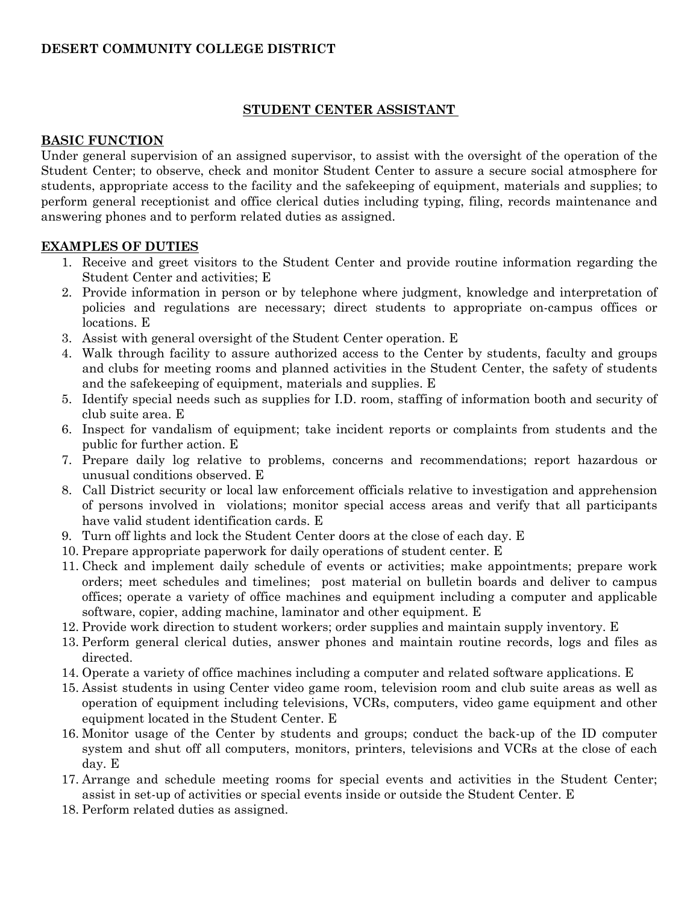# **DESERT COMMUNITY COLLEGE DISTRICT**

### **STUDENT CENTER ASSISTANT**

#### **BASIC FUNCTION**

Under general supervision of an assigned supervisor, to assist with the oversight of the operation of the Student Center; to observe, check and monitor Student Center to assure a secure social atmosphere for students, appropriate access to the facility and the safekeeping of equipment, materials and supplies; to perform general receptionist and office clerical duties including typing, filing, records maintenance and answering phones and to perform related duties as assigned.

## **EXAMPLES OF DUTIES**

- 1. Receive and greet visitors to the Student Center and provide routine information regarding the Student Center and activities; E
- 2. Provide information in person or by telephone where judgment, knowledge and interpretation of policies and regulations are necessary; direct students to appropriate on-campus offices or locations. E
- 3. Assist with general oversight of the Student Center operation. E
- 4. Walk through facility to assure authorized access to the Center by students, faculty and groups and clubs for meeting rooms and planned activities in the Student Center, the safety of students and the safekeeping of equipment, materials and supplies. E
- 5. Identify special needs such as supplies for I.D. room, staffing of information booth and security of club suite area. E
- 6. Inspect for vandalism of equipment; take incident reports or complaints from students and the public for further action. E
- 7. Prepare daily log relative to problems, concerns and recommendations; report hazardous or unusual conditions observed. E
- 8. Call District security or local law enforcement officials relative to investigation and apprehension of persons involved in violations; monitor special access areas and verify that all participants have valid student identification cards. E
- 9. Turn off lights and lock the Student Center doors at the close of each day. E
- 10. Prepare appropriate paperwork for daily operations of student center. E
- 11. Check and implement daily schedule of events or activities; make appointments; prepare work orders; meet schedules and timelines; post material on bulletin boards and deliver to campus offices; operate a variety of office machines and equipment including a computer and applicable software, copier, adding machine, laminator and other equipment. E
- 12. Provide work direction to student workers; order supplies and maintain supply inventory. E
- 13. Perform general clerical duties, answer phones and maintain routine records, logs and files as directed.
- 14. Operate a variety of office machines including a computer and related software applications. E
- 15. Assist students in using Center video game room, television room and club suite areas as well as operation of equipment including televisions, VCRs, computers, video game equipment and other equipment located in the Student Center. E
- 16. Monitor usage of the Center by students and groups; conduct the back-up of the ID computer system and shut off all computers, monitors, printers, televisions and VCRs at the close of each day. E
- 17. Arrange and schedule meeting rooms for special events and activities in the Student Center; assist in set-up of activities or special events inside or outside the Student Center. E
- 18. Perform related duties as assigned.